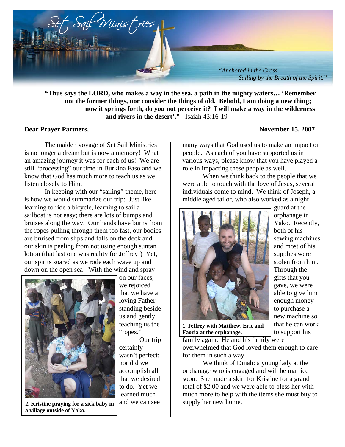

**"Thus says the LORD, who makes a way in the sea, a path in the mighty waters… 'Remember not the former things, nor consider the things of old. Behold, I am doing a new thing; now it springs forth, do you not perceive it? I will make a way in the wilderness and rivers in the desert'."** -Isaiah 43:16-19

## **Dear Prayer Partners,** November 15, 2007

 The maiden voyage of Set Sail Ministries is no longer a dream but is now a memory! What an amazing journey it was for each of us! We are still "processing" our time in Burkina Faso and we know that God has much more to teach us as we listen closely to Him.

 In keeping with our "sailing" theme, here is how we would summarize our trip: Just like learning to ride a bicycle, learning to sail a sailboat is not easy; there are lots of bumps and bruises along the way. Our hands have burns from the ropes pulling through them too fast, our bodies are bruised from slips and falls on the deck and our skin is peeling from not using enough suntan lotion (that last one was reality for Jeffrey!) Yet, our spirits soared as we rode each wave up and down on the open sea! With the wind and spray



on our faces, we rejoiced that we have a loving Father standing beside us and gently teaching us the "ropes."

 Our trip certainly wasn't perfect; nor did we accomplish all that we desired to do. Yet we learned much and we can see

guard at the orphanage in

many ways that God used us to make an impact on people. As each of you have supported us in various ways, please know that you have played a role in impacting these people as well.

When we think back to the people that we were able to touch with the love of Jesus, several individuals come to mind. We think of Joseph, a middle aged tailor, who also worked as a night



**1. Jeffrey with Matthew, Eric and Faozia at the orphanage.** 

family again. He and his family were overwhelmed that God loved them enough to care for them in such a way.

 We think of Dinah: a young lady at the orphanage who is engaged and will be married soon. She made a skirt for Kristine for a grand total of \$2.00 and we were able to bless her with much more to help with the items she must buy to supply her new home.

Yako. Recently, both of his sewing machines and most of his supplies were stolen from him. Through the gifts that you gave, we were able to give him enough money to purchase a new machine so that he can work to support his

**2. Kristine praying for a sick baby in a village outside of Yako.**